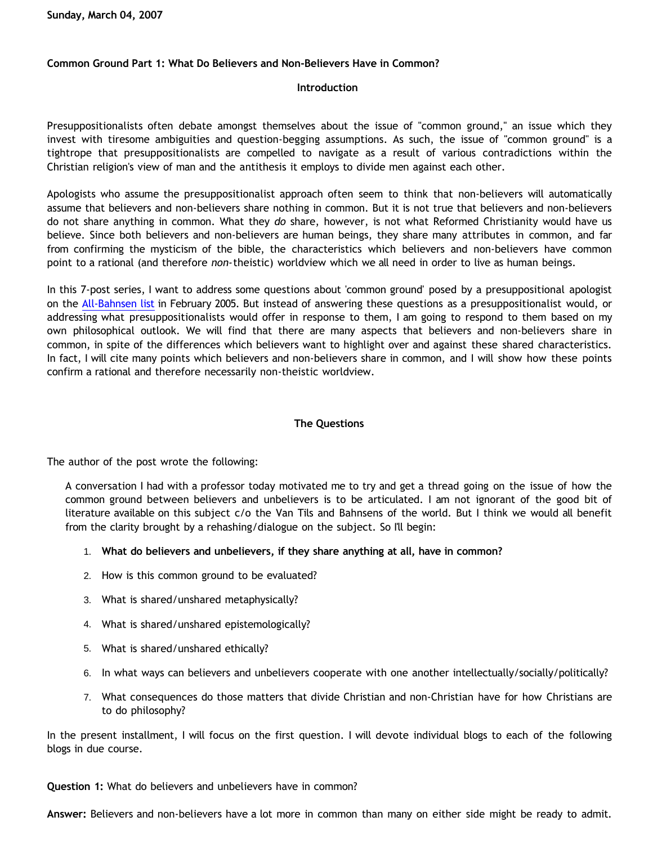## **Common Ground Part 1: What Do Believers and Non-Believers Have in Common?**

## **Introduction**

Presuppositionalists often debate amongst themselves about the issue of "common ground," an issue which they invest with tiresome ambiguities and question-begging assumptions. As such, the issue of "common ground" is a tightrope that presuppositionalists are compelled to navigate as a result of various contradictions within the Christian religion's view of man and the antithesis it employs to divide men against each other.

Apologists who assume the presuppositionalist approach often seem to think that non-believers will automatically assume that believers and non-believers share nothing in common. But it is not true that believers and non-believers do not share anything in common. What they *do* share, however, is not what Reformed Christianity would have us believe. Since both believers and non-believers are human beings, they share many attributes in common, and far from confirming the mysticism of the bible, the characteristics which believers and non-believers have common point to a rational (and therefore *non-*theistic) worldview which we all need in order to live as human beings.

In this 7-post series, I want to address some questions about 'common ground' posed by a presuppositional apologist on the [All-Bahnsen list](http://groups.yahoo.com/group/all-bahnsen/) in February 2005. But instead of answering these questions as a presuppositionalist would, or addressing what presuppositionalists would offer in response to them, I am going to respond to them based on my own philosophical outlook. We will find that there are many aspects that believers and non-believers share in common, in spite of the differences which believers want to highlight over and against these shared characteristics. In fact, I will cite many points which believers and non-believers share in common, and I will show how these points confirm a rational and therefore necessarily non-theistic worldview.

## **The Questions**

The author of the post wrote the following:

A conversation I had with a professor today motivated me to try and get a thread going on the issue of how the common ground between believers and unbelievers is to be articulated. I am not ignorant of the good bit of literature available on this subject c/o the Van Tils and Bahnsens of the world. But I think we would all benefit from the clarity brought by a rehashing/dialogue on the subject. So I'll begin:

- 1. **What do believers and unbelievers, if they share anything at all, have in common?**
- 2. How is this common ground to be evaluated?
- 3. What is shared/unshared metaphysically?
- 4. What is shared/unshared epistemologically?
- 5. What is shared/unshared ethically?
- 6. In what ways can believers and unbelievers cooperate with one another intellectually/socially/politically?
- 7. What consequences do those matters that divide Christian and non-Christian have for how Christians are to do philosophy?

In the present installment, I will focus on the first question. I will devote individual blogs to each of the following blogs in due course.

**Question 1:** What do believers and unbelievers have in common?

**Answer:** Believers and non-believers have a lot more in common than many on either side might be ready to admit.